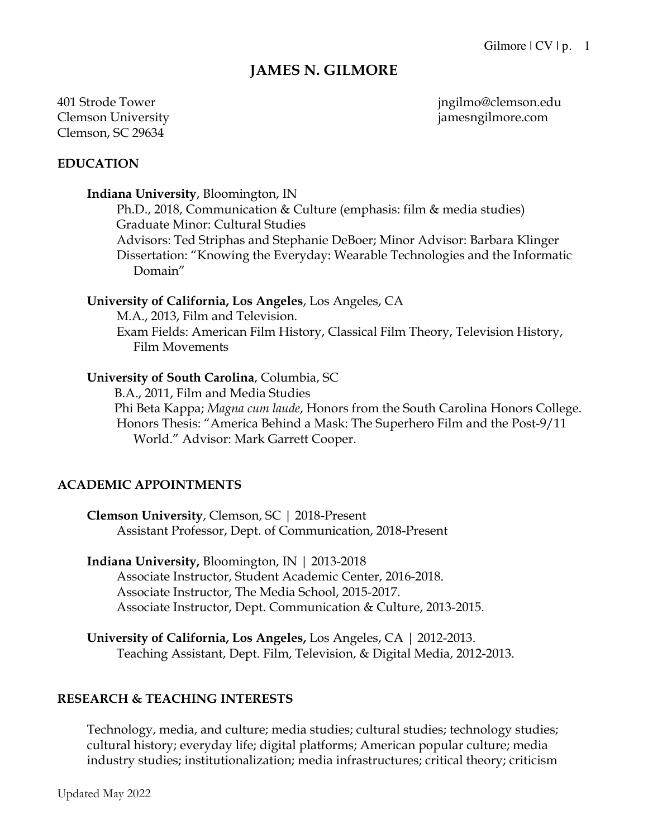# **JAMES N. GILMORE**

# Clemson University jamesngilmore.com Clemson, SC 29634

401 Strode Tower jngilmo@clemson.edu

#### **EDUCATION**

#### **Indiana University**, Bloomington, IN

Ph.D., 2018, Communication & Culture (emphasis: film & media studies) Graduate Minor: Cultural Studies Advisors: Ted Striphas and Stephanie DeBoer; Minor Advisor: Barbara Klinger Dissertation: "Knowing the Everyday: Wearable Technologies and the Informatic Domain"

#### **University of California, Los Angeles**, Los Angeles, CA

M.A., 2013, Film and Television.

Exam Fields: American Film History, Classical Film Theory, Television History, Film Movements

#### **University of South Carolina**, Columbia, SC

B.A., 2011, Film and Media Studies Phi Beta Kappa; *Magna cum laude*, Honors from the South Carolina Honors College. Honors Thesis: "America Behind a Mask: The Superhero Film and the Post-9/11 World." Advisor: Mark Garrett Cooper.

#### **ACADEMIC APPOINTMENTS**

**Clemson University**, Clemson, SC | 2018-Present Assistant Professor, Dept. of Communication, 2018-Present

**Indiana University,** Bloomington, IN | 2013-2018 Associate Instructor, Student Academic Center, 2016-2018. Associate Instructor, The Media School, 2015-2017. Associate Instructor, Dept. Communication & Culture, 2013-2015.

**University of California, Los Angeles,** Los Angeles, CA | 2012-2013. Teaching Assistant, Dept. Film, Television, & Digital Media, 2012-2013.

# **RESEARCH & TEACHING INTERESTS**

Technology, media, and culture; media studies; cultural studies; technology studies; cultural history; everyday life; digital platforms; American popular culture; media industry studies; institutionalization; media infrastructures; critical theory; criticism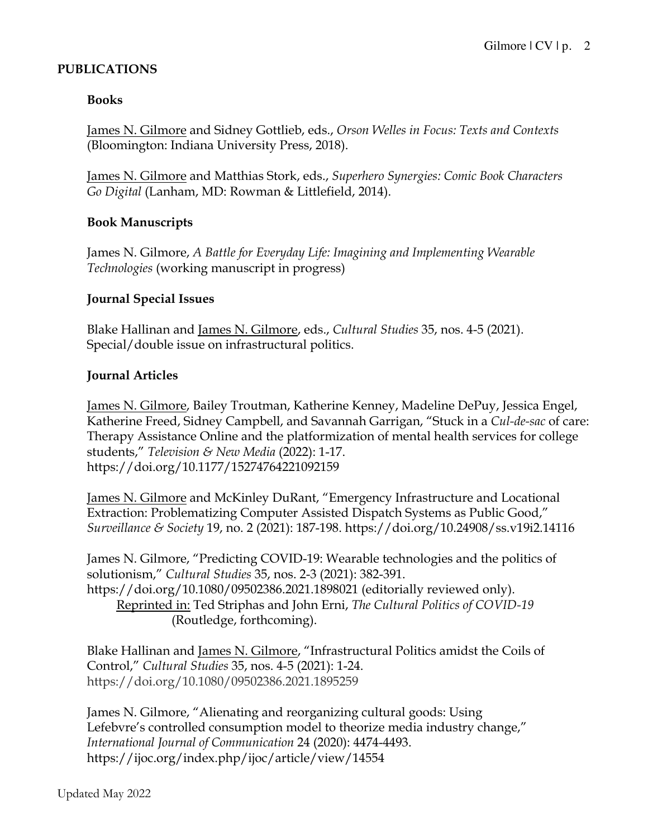## **PUBLICATIONS**

## **Books**

James N. Gilmore and Sidney Gottlieb, eds., *Orson Welles in Focus: Texts and Contexts*  (Bloomington: Indiana University Press, 2018).

James N. Gilmore and Matthias Stork, eds., *Superhero Synergies: Comic Book Characters Go Digital* (Lanham, MD: Rowman & Littlefield, 2014).

## **Book Manuscripts**

James N. Gilmore, *A Battle for Everyday Life: Imagining and Implementing Wearable Technologies* (working manuscript in progress)

#### **Journal Special Issues**

Blake Hallinan and James N. Gilmore, eds., *Cultural Studies* 35, nos. 4-5 (2021). Special/double issue on infrastructural politics.

## **Journal Articles**

James N. Gilmore, Bailey Troutman, Katherine Kenney, Madeline DePuy, Jessica Engel, Katherine Freed, Sidney Campbell, and Savannah Garrigan, "Stuck in a *Cul-de-sac* of care: Therapy Assistance Online and the platformization of mental health services for college students," *Television & New Media* (2022): 1-17. https://doi.org/10.1177/15274764221092159

James N. Gilmore and McKinley DuRant, "Emergency Infrastructure and Locational Extraction: Problematizing Computer Assisted Dispatch Systems as Public Good," *Surveillance & Society* 19, no. 2 (2021): 187-198. https://doi.org/10.24908/ss.v19i2.14116

James N. Gilmore, "Predicting COVID-19: Wearable technologies and the politics of solutionism," *Cultural Studies* 35, nos. 2-3 (2021): 382-391. https://doi.org/10.1080/09502386.2021.1898021 (editorially reviewed only). Reprinted in: Ted Striphas and John Erni, *The Cultural Politics of COVID-19*  (Routledge, forthcoming).

Blake Hallinan and James N. Gilmore, "Infrastructural Politics amidst the Coils of Control," *Cultural Studies* 35, nos. 4-5 (2021): 1-24. https://doi.org/10.1080/09502386.2021.1895259

James N. Gilmore, "Alienating and reorganizing cultural goods: Using Lefebvre's controlled consumption model to theorize media industry change," *International Journal of Communication* 24 (2020): 4474-4493. https://ijoc.org/index.php/ijoc/article/view/14554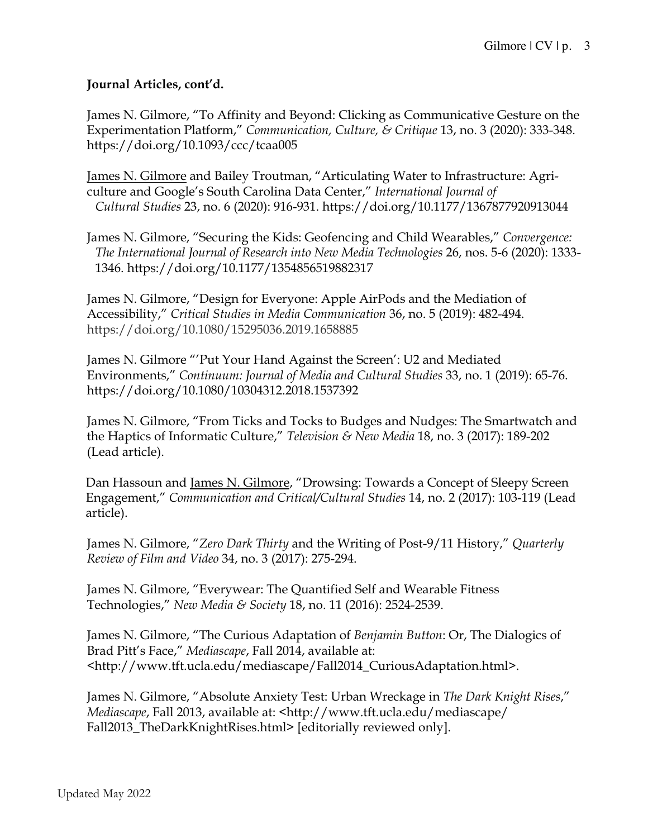## **Journal Articles, cont'd.**

James N. Gilmore, "To Affinity and Beyond: Clicking as Communicative Gesture on the Experimentation Platform," *Communication, Culture, & Critique* 13, no. 3 (2020): 333-348. https://doi.org/10.1093/ccc/tcaa005

James N. Gilmore and Bailey Troutman, "Articulating Water to Infrastructure: Agriculture and Google's South Carolina Data Center," *International Journal of Cultural Studies* 23, no. 6 (2020): 916-931. https://doi.org/10.1177/1367877920913044

James N. Gilmore, "Securing the Kids: Geofencing and Child Wearables," *Convergence: The International Journal of Research into New Media Technologies* 26, nos. 5-6 (2020): 1333- 1346. https://doi.org/10.1177/1354856519882317

James N. Gilmore, "Design for Everyone: Apple AirPods and the Mediation of Accessibility," *Critical Studies in Media Communication* 36, no. 5 (2019): 482-494. https://doi.org/10.1080/15295036.2019.1658885

James N. Gilmore "'Put Your Hand Against the Screen': U2 and Mediated Environments," *Continuum: Journal of Media and Cultural Studies* 33, no. 1 (2019): 65-76. https://doi.org/10.1080/10304312.2018.1537392

James N. Gilmore, "From Ticks and Tocks to Budges and Nudges: The Smartwatch and the Haptics of Informatic Culture," *Television & New Media* 18, no. 3 (2017): 189-202 (Lead article).

Dan Hassoun and James N. Gilmore, "Drowsing: Towards a Concept of Sleepy Screen Engagement," *Communication and Critical/Cultural Studies* 14, no. 2 (2017): 103-119 (Lead article).

James N. Gilmore, "*Zero Dark Thirty* and the Writing of Post-9/11 History," *Quarterly Review of Film and Video* 34, no. 3 (2017): 275-294.

James N. Gilmore, "Everywear: The Quantified Self and Wearable Fitness Technologies," *New Media & Society* 18, no. 11 (2016): 2524-2539.

James N. Gilmore, "The Curious Adaptation of *Benjamin Button*: Or, The Dialogics of Brad Pitt's Face," *Mediascape*, Fall 2014, available at: <http://www.tft.ucla.edu/mediascape/Fall2014\_CuriousAdaptation.html>.

James N. Gilmore, "Absolute Anxiety Test: Urban Wreckage in *The Dark Knight Rises*," *Mediascape*, Fall 2013, available at: <http://www.tft.ucla.edu/mediascape/ Fall2013\_TheDarkKnightRises.html> [editorially reviewed only].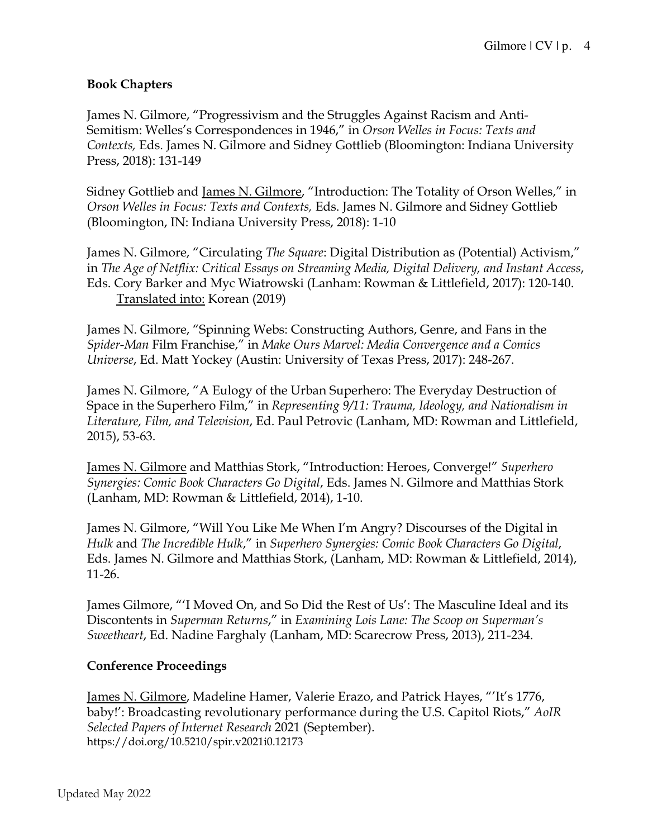#### **Book Chapters**

James N. Gilmore, "Progressivism and the Struggles Against Racism and Anti-Semitism: Welles's Correspondences in 1946," in *Orson Welles in Focus: Texts and Contexts,* Eds. James N. Gilmore and Sidney Gottlieb (Bloomington: Indiana University Press, 2018): 131-149

Sidney Gottlieb and James N. Gilmore, "Introduction: The Totality of Orson Welles," in *Orson Welles in Focus: Texts and Contexts,* Eds. James N. Gilmore and Sidney Gottlieb (Bloomington, IN: Indiana University Press, 2018): 1-10

James N. Gilmore, "Circulating *The Square*: Digital Distribution as (Potential) Activism," in *The Age of Netflix: Critical Essays on Streaming Media, Digital Delivery, and Instant Access*, Eds. Cory Barker and Myc Wiatrowski (Lanham: Rowman & Littlefield, 2017): 120-140. Translated into: Korean (2019)

James N. Gilmore, "Spinning Webs: Constructing Authors, Genre, and Fans in the *Spider-Man* Film Franchise," in *Make Ours Marvel: Media Convergence and a Comics Universe*, Ed. Matt Yockey (Austin: University of Texas Press, 2017): 248-267.

James N. Gilmore, "A Eulogy of the Urban Superhero: The Everyday Destruction of Space in the Superhero Film," in *Representing 9/11: Trauma, Ideology, and Nationalism in Literature, Film, and Television*, Ed. Paul Petrovic (Lanham, MD: Rowman and Littlefield, 2015), 53-63.

James N. Gilmore and Matthias Stork, "Introduction: Heroes, Converge!" *Superhero Synergies: Comic Book Characters Go Digital*, Eds. James N. Gilmore and Matthias Stork (Lanham, MD: Rowman & Littlefield, 2014), 1-10.

James N. Gilmore, "Will You Like Me When I'm Angry? Discourses of the Digital in *Hulk* and *The Incredible Hulk*," in *Superhero Synergies: Comic Book Characters Go Digital*, Eds. James N. Gilmore and Matthias Stork, (Lanham, MD: Rowman & Littlefield, 2014), 11-26.

James Gilmore, "'I Moved On, and So Did the Rest of Us': The Masculine Ideal and its Discontents in *Superman Returns*," in *Examining Lois Lane: The Scoop on Superman's Sweetheart*, Ed. Nadine Farghaly (Lanham, MD: Scarecrow Press, 2013), 211-234.

#### **Conference Proceedings**

James N. Gilmore, Madeline Hamer, Valerie Erazo, and Patrick Hayes, "'It's 1776, baby!': Broadcasting revolutionary performance during the U.S. Capitol Riots," *AoIR Selected Papers of Internet Research* 2021 (September). https://doi.org/10.5210/spir.v2021i0.12173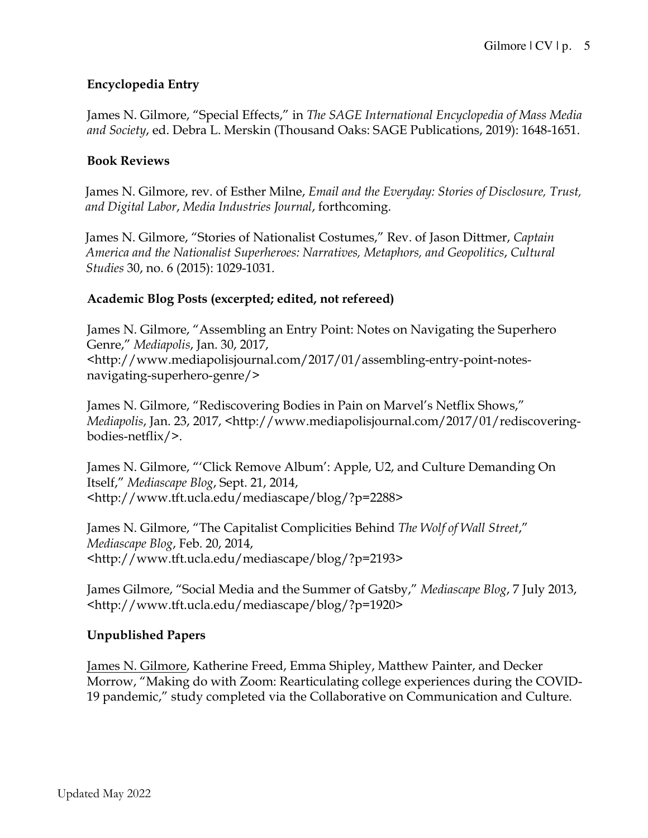## **Encyclopedia Entry**

James N. Gilmore, "Special Effects," in *The SAGE International Encyclopedia of Mass Media and Society*, ed. Debra L. Merskin (Thousand Oaks: SAGE Publications, 2019): 1648-1651.

#### **Book Reviews**

James N. Gilmore, rev. of Esther Milne, *Email and the Everyday: Stories of Disclosure, Trust, and Digital Labor*, *Media Industries Journal*, forthcoming.

James N. Gilmore, "Stories of Nationalist Costumes," Rev. of Jason Dittmer, *Captain America and the Nationalist Superheroes: Narratives, Metaphors, and Geopolitics*, *Cultural Studies* 30, no. 6 (2015): 1029-1031.

#### **Academic Blog Posts (excerpted; edited, not refereed)**

James N. Gilmore, "Assembling an Entry Point: Notes on Navigating the Superhero Genre," *Mediapolis*, Jan. 30, 2017, <http://www.mediapolisjournal.com/2017/01/assembling-entry-point-notesnavigating-superhero-genre/>

James N. Gilmore, "Rediscovering Bodies in Pain on Marvel's Netflix Shows," *Mediapolis*, Jan. 23, 2017, <http://www.mediapolisjournal.com/2017/01/rediscoveringbodies-netflix/>.

James N. Gilmore, "'Click Remove Album': Apple, U2, and Culture Demanding On Itself," *Mediascape Blog*, Sept. 21, 2014, <http://www.tft.ucla.edu/mediascape/blog/?p=2288>

James N. Gilmore, "The Capitalist Complicities Behind *The Wolf of Wall Street*," *Mediascape Blog*, Feb. 20, 2014, <http://www.tft.ucla.edu/mediascape/blog/?p=2193>

James Gilmore, "Social Media and the Summer of Gatsby," *Mediascape Blog*, 7 July 2013, <http://www.tft.ucla.edu/mediascape/blog/?p=1920>

#### **Unpublished Papers**

James N. Gilmore, Katherine Freed, Emma Shipley, Matthew Painter, and Decker Morrow, "Making do with Zoom: Rearticulating college experiences during the COVID-19 pandemic," study completed via the Collaborative on Communication and Culture.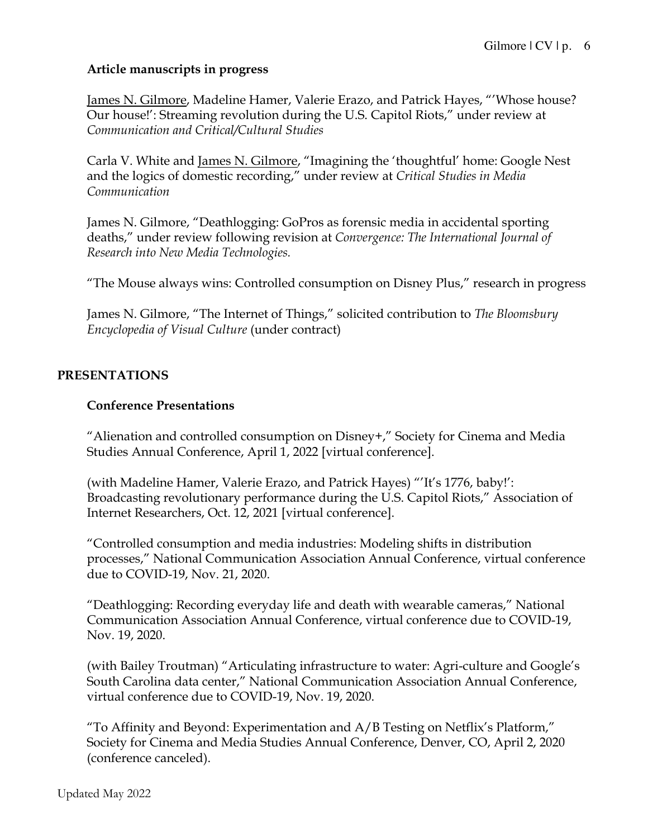#### **Article manuscripts in progress**

James N. Gilmore, Madeline Hamer, Valerie Erazo, and Patrick Hayes, "'Whose house? Our house!': Streaming revolution during the U.S. Capitol Riots," under review at *Communication and Critical/Cultural Studies* 

Carla V. White and James N. Gilmore, "Imagining the 'thoughtful' home: Google Nest and the logics of domestic recording," under review at *Critical Studies in Media Communication*

James N. Gilmore, "Deathlogging: GoPros as forensic media in accidental sporting deaths," under review following revision at *Convergence: The International Journal of Research into New Media Technologies.*

"The Mouse always wins: Controlled consumption on Disney Plus," research in progress

James N. Gilmore, "The Internet of Things," solicited contribution to *The Bloomsbury Encyclopedia of Visual Culture* (under contract)

# **PRESENTATIONS**

#### **Conference Presentations**

"Alienation and controlled consumption on Disney+," Society for Cinema and Media Studies Annual Conference, April 1, 2022 [virtual conference].

(with Madeline Hamer, Valerie Erazo, and Patrick Hayes) "'It's 1776, baby!': Broadcasting revolutionary performance during the U.S. Capitol Riots," Association of Internet Researchers, Oct. 12, 2021 [virtual conference].

"Controlled consumption and media industries: Modeling shifts in distribution processes," National Communication Association Annual Conference, virtual conference due to COVID-19, Nov. 21, 2020.

"Deathlogging: Recording everyday life and death with wearable cameras," National Communication Association Annual Conference, virtual conference due to COVID-19, Nov. 19, 2020.

(with Bailey Troutman) "Articulating infrastructure to water: Agri-culture and Google's South Carolina data center," National Communication Association Annual Conference, virtual conference due to COVID-19, Nov. 19, 2020.

"To Affinity and Beyond: Experimentation and  $A/B$  Testing on Netflix's Platform," Society for Cinema and Media Studies Annual Conference, Denver, CO, April 2, 2020 (conference canceled).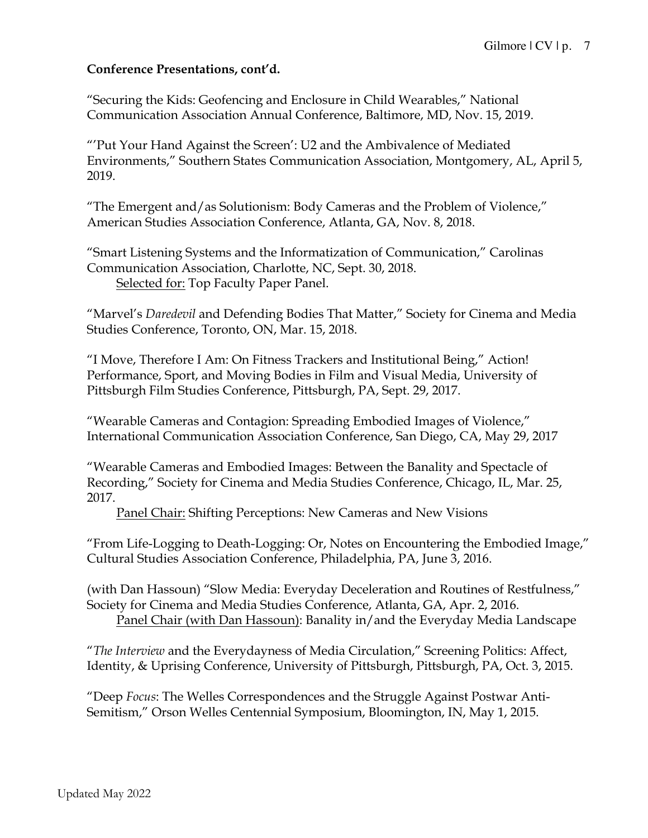#### **Conference Presentations, cont'd.**

"Securing the Kids: Geofencing and Enclosure in Child Wearables," National Communication Association Annual Conference, Baltimore, MD, Nov. 15, 2019.

"'Put Your Hand Against the Screen': U2 and the Ambivalence of Mediated Environments," Southern States Communication Association, Montgomery, AL, April 5, 2019.

"The Emergent and/as Solutionism: Body Cameras and the Problem of Violence," American Studies Association Conference, Atlanta, GA, Nov. 8, 2018.

"Smart Listening Systems and the Informatization of Communication," Carolinas Communication Association, Charlotte, NC, Sept. 30, 2018. Selected for: Top Faculty Paper Panel.

"Marvel's *Daredevil* and Defending Bodies That Matter," Society for Cinema and Media Studies Conference, Toronto, ON, Mar. 15, 2018.

"I Move, Therefore I Am: On Fitness Trackers and Institutional Being," Action! Performance, Sport, and Moving Bodies in Film and Visual Media, University of Pittsburgh Film Studies Conference, Pittsburgh, PA, Sept. 29, 2017.

"Wearable Cameras and Contagion: Spreading Embodied Images of Violence," International Communication Association Conference, San Diego, CA, May 29, 2017

"Wearable Cameras and Embodied Images: Between the Banality and Spectacle of Recording," Society for Cinema and Media Studies Conference, Chicago, IL, Mar. 25, 2017.

Panel Chair: Shifting Perceptions: New Cameras and New Visions

"From Life-Logging to Death-Logging: Or, Notes on Encountering the Embodied Image," Cultural Studies Association Conference, Philadelphia, PA, June 3, 2016.

(with Dan Hassoun) "Slow Media: Everyday Deceleration and Routines of Restfulness," Society for Cinema and Media Studies Conference, Atlanta, GA, Apr. 2, 2016.

Panel Chair (with Dan Hassoun): Banality in/and the Everyday Media Landscape

"*The Interview* and the Everydayness of Media Circulation," Screening Politics: Affect, Identity, & Uprising Conference, University of Pittsburgh, Pittsburgh, PA, Oct. 3, 2015.

"Deep *Focus*: The Welles Correspondences and the Struggle Against Postwar Anti-Semitism," Orson Welles Centennial Symposium, Bloomington, IN, May 1, 2015.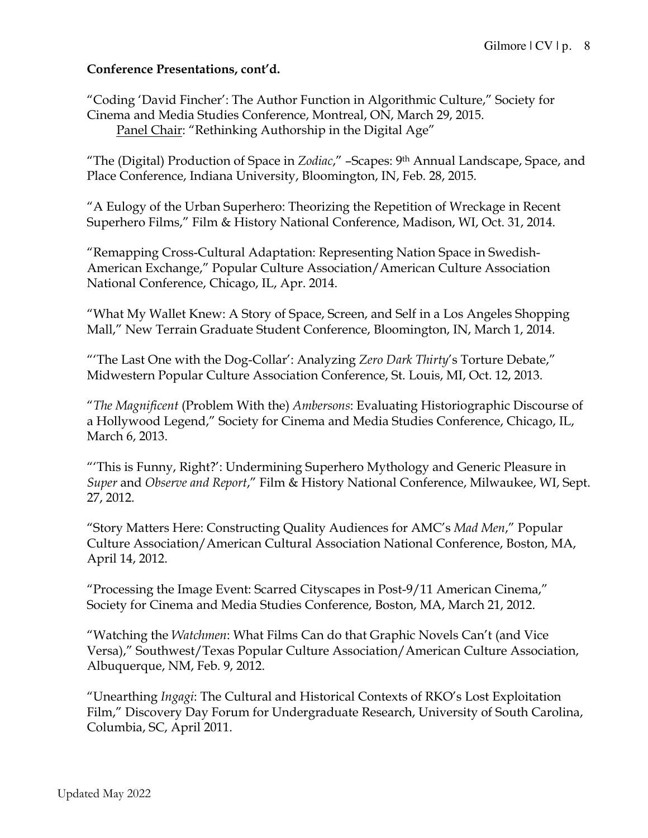## **Conference Presentations, cont'd.**

"Coding 'David Fincher': The Author Function in Algorithmic Culture," Society for Cinema and Media Studies Conference, Montreal, ON, March 29, 2015. Panel Chair: "Rethinking Authorship in the Digital Age"

"The (Digital) Production of Space in *Zodiac*," –Scapes: 9th Annual Landscape, Space, and Place Conference, Indiana University, Bloomington, IN, Feb. 28, 2015.

"A Eulogy of the Urban Superhero: Theorizing the Repetition of Wreckage in Recent Superhero Films," Film & History National Conference, Madison, WI, Oct. 31, 2014.

"Remapping Cross-Cultural Adaptation: Representing Nation Space in Swedish-American Exchange," Popular Culture Association/American Culture Association National Conference, Chicago, IL, Apr. 2014.

"What My Wallet Knew: A Story of Space, Screen, and Self in a Los Angeles Shopping Mall," New Terrain Graduate Student Conference, Bloomington, IN, March 1, 2014.

"'The Last One with the Dog-Collar': Analyzing *Zero Dark Thirty*'s Torture Debate," Midwestern Popular Culture Association Conference, St. Louis, MI, Oct. 12, 2013.

"*The Magnificent* (Problem With the) *Ambersons*: Evaluating Historiographic Discourse of a Hollywood Legend," Society for Cinema and Media Studies Conference, Chicago, IL, March 6, 2013.

"'This is Funny, Right?': Undermining Superhero Mythology and Generic Pleasure in *Super* and *Observe and Report*," Film & History National Conference, Milwaukee, WI, Sept. 27, 2012.

"Story Matters Here: Constructing Quality Audiences for AMC's *Mad Men*," Popular Culture Association/American Cultural Association National Conference, Boston, MA, April 14, 2012.

"Processing the Image Event: Scarred Cityscapes in Post-9/11 American Cinema," Society for Cinema and Media Studies Conference, Boston, MA, March 21, 2012.

"Watching the *Watchmen*: What Films Can do that Graphic Novels Can't (and Vice Versa)," Southwest/Texas Popular Culture Association/American Culture Association, Albuquerque, NM, Feb. 9, 2012.

"Unearthing *Ingagi*: The Cultural and Historical Contexts of RKO's Lost Exploitation Film," Discovery Day Forum for Undergraduate Research, University of South Carolina, Columbia, SC, April 2011.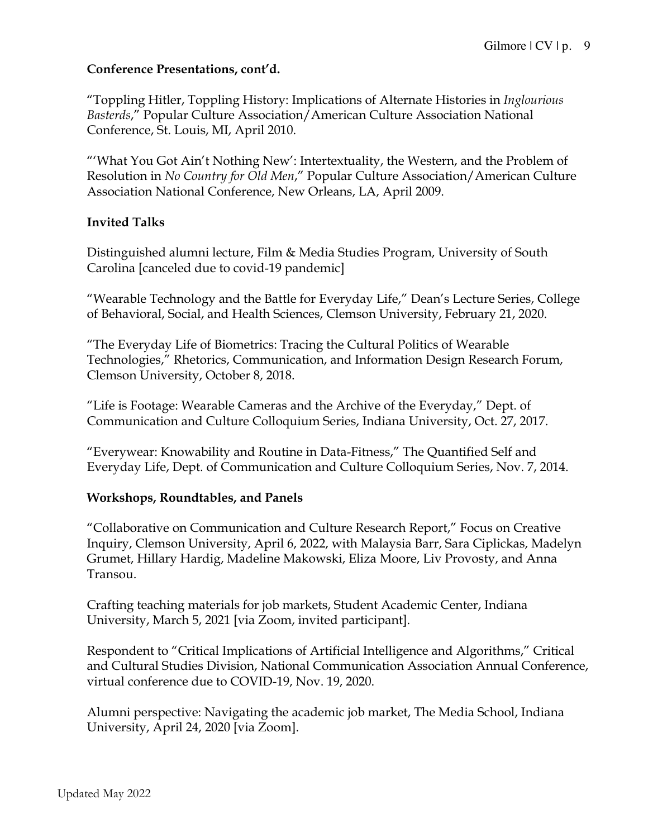## **Conference Presentations, cont'd.**

"Toppling Hitler, Toppling History: Implications of Alternate Histories in *Inglourious Basterds*," Popular Culture Association/American Culture Association National Conference, St. Louis, MI, April 2010.

"'What You Got Ain't Nothing New': Intertextuality, the Western, and the Problem of Resolution in *No Country for Old Men*," Popular Culture Association/American Culture Association National Conference, New Orleans, LA, April 2009.

## **Invited Talks**

Distinguished alumni lecture, Film & Media Studies Program, University of South Carolina [canceled due to covid-19 pandemic]

"Wearable Technology and the Battle for Everyday Life," Dean's Lecture Series, College of Behavioral, Social, and Health Sciences, Clemson University, February 21, 2020.

"The Everyday Life of Biometrics: Tracing the Cultural Politics of Wearable Technologies," Rhetorics, Communication, and Information Design Research Forum, Clemson University, October 8, 2018.

"Life is Footage: Wearable Cameras and the Archive of the Everyday," Dept. of Communication and Culture Colloquium Series, Indiana University, Oct. 27, 2017.

"Everywear: Knowability and Routine in Data-Fitness," The Quantified Self and Everyday Life, Dept. of Communication and Culture Colloquium Series, Nov. 7, 2014.

# **Workshops, Roundtables, and Panels**

"Collaborative on Communication and Culture Research Report," Focus on Creative Inquiry, Clemson University, April 6, 2022, with Malaysia Barr, Sara Ciplickas, Madelyn Grumet, Hillary Hardig, Madeline Makowski, Eliza Moore, Liv Provosty, and Anna Transou.

Crafting teaching materials for job markets, Student Academic Center, Indiana University, March 5, 2021 [via Zoom, invited participant].

Respondent to "Critical Implications of Artificial Intelligence and Algorithms," Critical and Cultural Studies Division, National Communication Association Annual Conference, virtual conference due to COVID-19, Nov. 19, 2020.

Alumni perspective: Navigating the academic job market, The Media School, Indiana University, April 24, 2020 [via Zoom].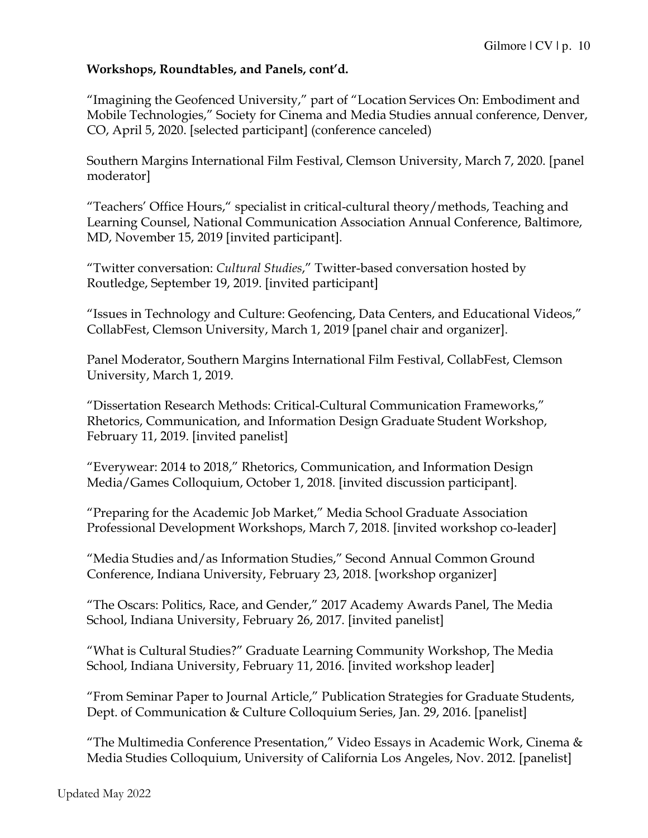#### **Workshops, Roundtables, and Panels, cont'd.**

"Imagining the Geofenced University," part of "Location Services On: Embodiment and Mobile Technologies," Society for Cinema and Media Studies annual conference, Denver, CO, April 5, 2020. [selected participant] (conference canceled)

Southern Margins International Film Festival, Clemson University, March 7, 2020. [panel moderator]

"Teachers' Office Hours," specialist in critical-cultural theory/methods, Teaching and Learning Counsel, National Communication Association Annual Conference, Baltimore, MD, November 15, 2019 [invited participant].

"Twitter conversation: *Cultural Studies*," Twitter-based conversation hosted by Routledge, September 19, 2019. [invited participant]

"Issues in Technology and Culture: Geofencing, Data Centers, and Educational Videos," CollabFest, Clemson University, March 1, 2019 [panel chair and organizer].

Panel Moderator, Southern Margins International Film Festival, CollabFest, Clemson University, March 1, 2019.

"Dissertation Research Methods: Critical-Cultural Communication Frameworks," Rhetorics, Communication, and Information Design Graduate Student Workshop, February 11, 2019. [invited panelist]

"Everywear: 2014 to 2018," Rhetorics, Communication, and Information Design Media/Games Colloquium, October 1, 2018. [invited discussion participant].

"Preparing for the Academic Job Market," Media School Graduate Association Professional Development Workshops, March 7, 2018. [invited workshop co-leader]

"Media Studies and/as Information Studies," Second Annual Common Ground Conference, Indiana University, February 23, 2018. [workshop organizer]

"The Oscars: Politics, Race, and Gender," 2017 Academy Awards Panel, The Media School, Indiana University, February 26, 2017. [invited panelist]

"What is Cultural Studies?" Graduate Learning Community Workshop, The Media School, Indiana University, February 11, 2016. [invited workshop leader]

"From Seminar Paper to Journal Article," Publication Strategies for Graduate Students, Dept. of Communication & Culture Colloquium Series, Jan. 29, 2016. [panelist]

"The Multimedia Conference Presentation," Video Essays in Academic Work, Cinema & Media Studies Colloquium, University of California Los Angeles, Nov. 2012. [panelist]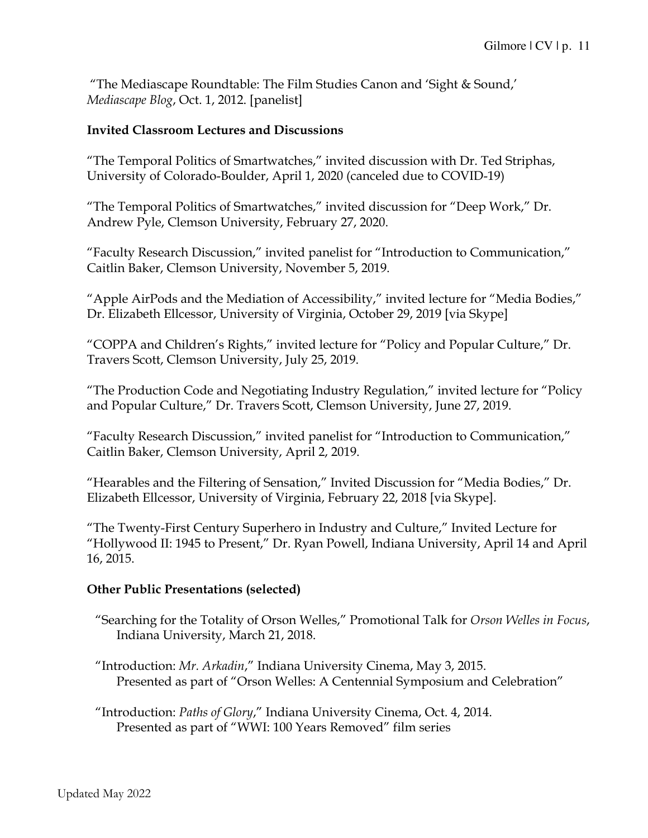"The Mediascape Roundtable: The Film Studies Canon and 'Sight & Sound,' *Mediascape Blog*, Oct. 1, 2012. [panelist]

#### **Invited Classroom Lectures and Discussions**

"The Temporal Politics of Smartwatches," invited discussion with Dr. Ted Striphas, University of Colorado-Boulder, April 1, 2020 (canceled due to COVID-19)

"The Temporal Politics of Smartwatches," invited discussion for "Deep Work," Dr. Andrew Pyle, Clemson University, February 27, 2020.

"Faculty Research Discussion," invited panelist for "Introduction to Communication," Caitlin Baker, Clemson University, November 5, 2019.

"Apple AirPods and the Mediation of Accessibility," invited lecture for "Media Bodies," Dr. Elizabeth Ellcessor, University of Virginia, October 29, 2019 [via Skype]

"COPPA and Children's Rights," invited lecture for "Policy and Popular Culture," Dr. Travers Scott, Clemson University, July 25, 2019.

"The Production Code and Negotiating Industry Regulation," invited lecture for "Policy and Popular Culture," Dr. Travers Scott, Clemson University, June 27, 2019.

"Faculty Research Discussion," invited panelist for "Introduction to Communication," Caitlin Baker, Clemson University, April 2, 2019.

"Hearables and the Filtering of Sensation," Invited Discussion for "Media Bodies," Dr. Elizabeth Ellcessor, University of Virginia, February 22, 2018 [via Skype].

"The Twenty-First Century Superhero in Industry and Culture," Invited Lecture for "Hollywood II: 1945 to Present," Dr. Ryan Powell, Indiana University, April 14 and April 16, 2015.

#### **Other Public Presentations (selected)**

"Searching for the Totality of Orson Welles," Promotional Talk for *Orson Welles in Focus*, Indiana University, March 21, 2018.

"Introduction: *Mr. Arkadin*," Indiana University Cinema, May 3, 2015. Presented as part of "Orson Welles: A Centennial Symposium and Celebration"

"Introduction: *Paths of Glory*," Indiana University Cinema, Oct. 4, 2014. Presented as part of "WWI: 100 Years Removed" film series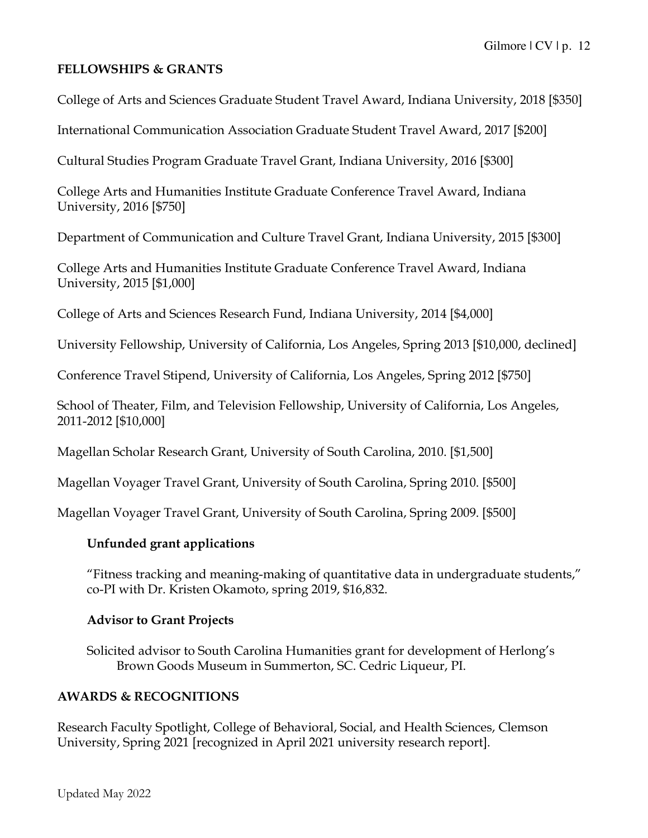## **FELLOWSHIPS & GRANTS**

College of Arts and Sciences Graduate Student Travel Award, Indiana University, 2018 [\$350]

International Communication Association Graduate Student Travel Award, 2017 [\$200]

Cultural Studies Program Graduate Travel Grant, Indiana University, 2016 [\$300]

College Arts and Humanities Institute Graduate Conference Travel Award, Indiana University, 2016 [\$750]

Department of Communication and Culture Travel Grant, Indiana University, 2015 [\$300]

College Arts and Humanities Institute Graduate Conference Travel Award, Indiana University, 2015 [\$1,000]

College of Arts and Sciences Research Fund, Indiana University, 2014 [\$4,000]

University Fellowship, University of California, Los Angeles, Spring 2013 [\$10,000, declined]

Conference Travel Stipend, University of California, Los Angeles, Spring 2012 [\$750]

School of Theater, Film, and Television Fellowship, University of California, Los Angeles, 2011-2012 [\$10,000]

Magellan Scholar Research Grant, University of South Carolina, 2010. [\$1,500]

Magellan Voyager Travel Grant, University of South Carolina, Spring 2010. [\$500]

Magellan Voyager Travel Grant, University of South Carolina, Spring 2009. [\$500]

#### **Unfunded grant applications**

"Fitness tracking and meaning-making of quantitative data in undergraduate students," co-PI with Dr. Kristen Okamoto, spring 2019, \$16,832.

#### **Advisor to Grant Projects**

Solicited advisor to South Carolina Humanities grant for development of Herlong's Brown Goods Museum in Summerton, SC. Cedric Liqueur, PI.

#### **AWARDS & RECOGNITIONS**

Research Faculty Spotlight, College of Behavioral, Social, and Health Sciences, Clemson University, Spring 2021 [recognized in April 2021 university research report].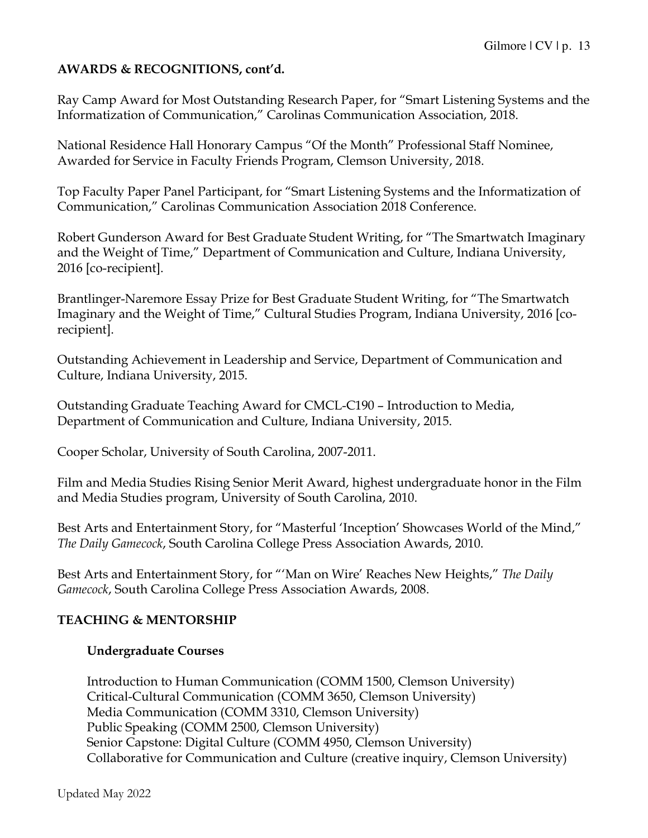## **AWARDS & RECOGNITIONS, cont'd.**

Ray Camp Award for Most Outstanding Research Paper, for "Smart Listening Systems and the Informatization of Communication," Carolinas Communication Association, 2018.

National Residence Hall Honorary Campus "Of the Month" Professional Staff Nominee, Awarded for Service in Faculty Friends Program, Clemson University, 2018.

Top Faculty Paper Panel Participant, for "Smart Listening Systems and the Informatization of Communication," Carolinas Communication Association 2018 Conference.

Robert Gunderson Award for Best Graduate Student Writing, for "The Smartwatch Imaginary and the Weight of Time," Department of Communication and Culture, Indiana University, 2016 [co-recipient].

Brantlinger-Naremore Essay Prize for Best Graduate Student Writing, for "The Smartwatch Imaginary and the Weight of Time," Cultural Studies Program, Indiana University, 2016 [corecipient].

Outstanding Achievement in Leadership and Service, Department of Communication and Culture, Indiana University, 2015.

Outstanding Graduate Teaching Award for CMCL-C190 – Introduction to Media, Department of Communication and Culture, Indiana University, 2015.

Cooper Scholar, University of South Carolina, 2007-2011.

Film and Media Studies Rising Senior Merit Award, highest undergraduate honor in the Film and Media Studies program, University of South Carolina, 2010.

Best Arts and Entertainment Story, for "Masterful 'Inception' Showcases World of the Mind," *The Daily Gamecock*, South Carolina College Press Association Awards, 2010.

Best Arts and Entertainment Story, for "'Man on Wire' Reaches New Heights," *The Daily Gamecock*, South Carolina College Press Association Awards, 2008.

# **TEACHING & MENTORSHIP**

#### **Undergraduate Courses**

Introduction to Human Communication (COMM 1500, Clemson University) Critical-Cultural Communication (COMM 3650, Clemson University) Media Communication (COMM 3310, Clemson University) Public Speaking (COMM 2500, Clemson University) Senior Capstone: Digital Culture (COMM 4950, Clemson University) Collaborative for Communication and Culture (creative inquiry, Clemson University)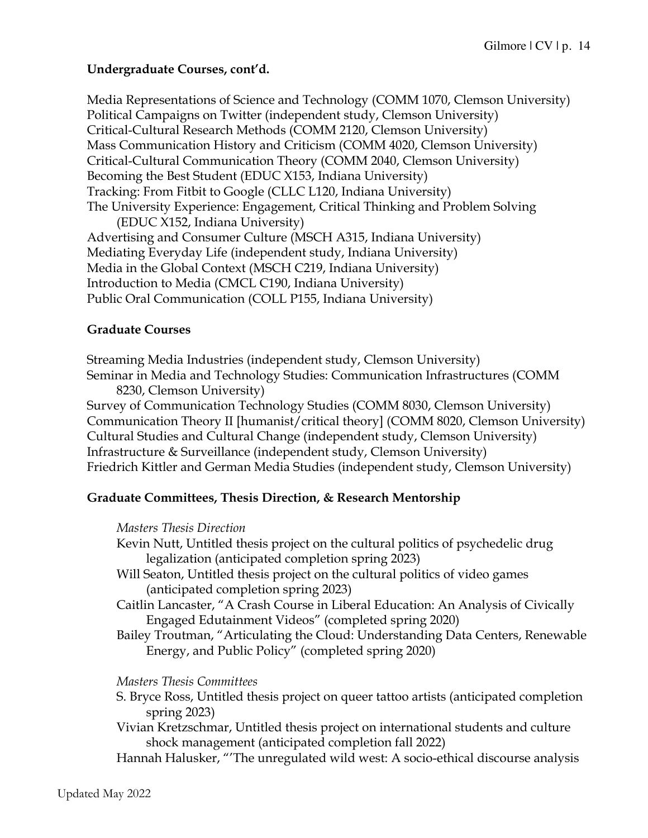## **Undergraduate Courses, cont'd.**

Media Representations of Science and Technology (COMM 1070, Clemson University) Political Campaigns on Twitter (independent study, Clemson University) Critical-Cultural Research Methods (COMM 2120, Clemson University) Mass Communication History and Criticism (COMM 4020, Clemson University) Critical-Cultural Communication Theory (COMM 2040, Clemson University) Becoming the Best Student (EDUC X153, Indiana University) Tracking: From Fitbit to Google (CLLC L120, Indiana University) The University Experience: Engagement, Critical Thinking and Problem Solving (EDUC X152, Indiana University) Advertising and Consumer Culture (MSCH A315, Indiana University) Mediating Everyday Life (independent study, Indiana University) Media in the Global Context (MSCH C219, Indiana University) Introduction to Media (CMCL C190, Indiana University) Public Oral Communication (COLL P155, Indiana University)

## **Graduate Courses**

Streaming Media Industries (independent study, Clemson University) Seminar in Media and Technology Studies: Communication Infrastructures (COMM 8230, Clemson University)

Survey of Communication Technology Studies (COMM 8030, Clemson University) Communication Theory II [humanist/critical theory] (COMM 8020, Clemson University) Cultural Studies and Cultural Change (independent study, Clemson University) Infrastructure & Surveillance (independent study, Clemson University) Friedrich Kittler and German Media Studies (independent study, Clemson University)

# **Graduate Committees, Thesis Direction, & Research Mentorship**

#### *Masters Thesis Direction*

- Kevin Nutt, Untitled thesis project on the cultural politics of psychedelic drug legalization (anticipated completion spring 2023)
- Will Seaton, Untitled thesis project on the cultural politics of video games (anticipated completion spring 2023)
- Caitlin Lancaster, "A Crash Course in Liberal Education: An Analysis of Civically Engaged Edutainment Videos" (completed spring 2020)
- Bailey Troutman, "Articulating the Cloud: Understanding Data Centers, Renewable Energy, and Public Policy" (completed spring 2020)

#### *Masters Thesis Committees*

- S. Bryce Ross, Untitled thesis project on queer tattoo artists (anticipated completion spring 2023)
- Vivian Kretzschmar, Untitled thesis project on international students and culture shock management (anticipated completion fall 2022)
- Hannah Halusker, "'The unregulated wild west: A socio-ethical discourse analysis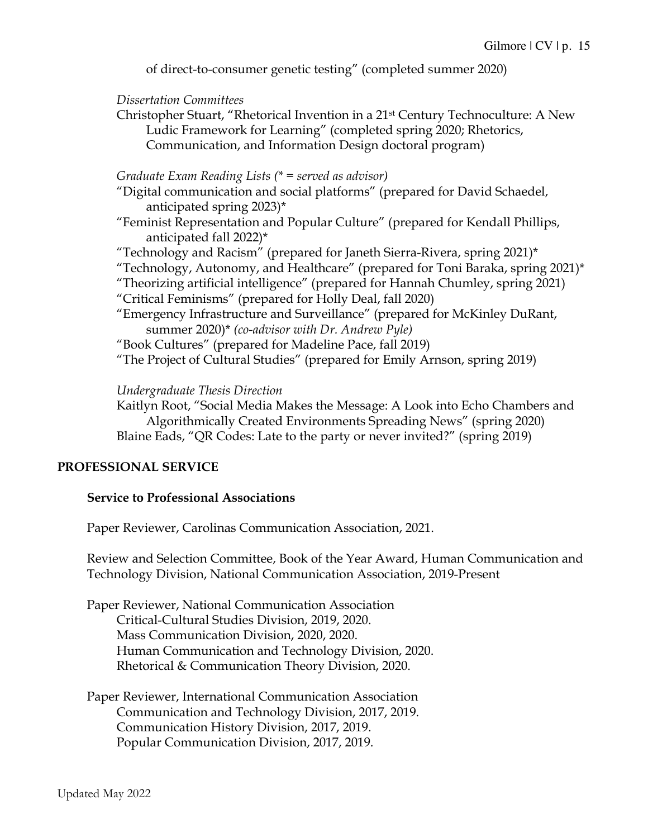of direct-to-consumer genetic testing" (completed summer 2020)

#### *Dissertation Committees*

Christopher Stuart, "Rhetorical Invention in a 21st Century Technoculture: A New Ludic Framework for Learning" (completed spring 2020; Rhetorics, Communication, and Information Design doctoral program)

#### *Graduate Exam Reading Lists (\* = served as advisor)*

"Digital communication and social platforms" (prepared for David Schaedel, anticipated spring 2023)\*

"Feminist Representation and Popular Culture" (prepared for Kendall Phillips, anticipated fall 2022)\*

"Technology and Racism" (prepared for Janeth Sierra-Rivera, spring 2021)\*

"Technology, Autonomy, and Healthcare" (prepared for Toni Baraka, spring  $2021$ )\*

"Theorizing artificial intelligence" (prepared for Hannah Chumley, spring 2021)

"Critical Feminisms" (prepared for Holly Deal, fall 2020)

"Emergency Infrastructure and Surveillance" (prepared for McKinley DuRant, summer 2020)\* *(co-advisor with Dr. Andrew Pyle)*

"Book Cultures" (prepared for Madeline Pace, fall 2019)

"The Project of Cultural Studies" (prepared for Emily Arnson, spring 2019)

*Undergraduate Thesis Direction*

Kaitlyn Root, "Social Media Makes the Message: A Look into Echo Chambers and Algorithmically Created Environments Spreading News" (spring 2020) Blaine Eads, "QR Codes: Late to the party or never invited?" (spring 2019)

#### **PROFESSIONAL SERVICE**

#### **Service to Professional Associations**

Paper Reviewer, Carolinas Communication Association, 2021.

Review and Selection Committee, Book of the Year Award, Human Communication and Technology Division, National Communication Association, 2019-Present

Paper Reviewer, National Communication Association Critical-Cultural Studies Division, 2019, 2020. Mass Communication Division, 2020, 2020. Human Communication and Technology Division, 2020. Rhetorical & Communication Theory Division, 2020.

Paper Reviewer, International Communication Association Communication and Technology Division, 2017, 2019. Communication History Division, 2017, 2019. Popular Communication Division, 2017, 2019.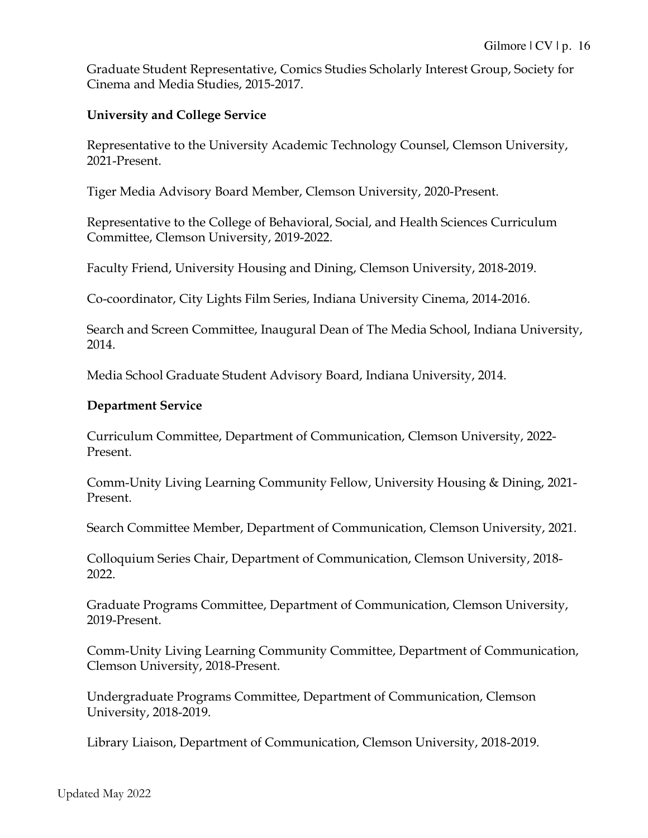Graduate Student Representative, Comics Studies Scholarly Interest Group, Society for Cinema and Media Studies, 2015-2017.

#### **University and College Service**

Representative to the University Academic Technology Counsel, Clemson University, 2021-Present.

Tiger Media Advisory Board Member, Clemson University, 2020-Present.

Representative to the College of Behavioral, Social, and Health Sciences Curriculum Committee, Clemson University, 2019-2022.

Faculty Friend, University Housing and Dining, Clemson University, 2018-2019.

Co-coordinator, City Lights Film Series, Indiana University Cinema, 2014-2016.

Search and Screen Committee, Inaugural Dean of The Media School, Indiana University, 2014.

Media School Graduate Student Advisory Board, Indiana University, 2014.

#### **Department Service**

Curriculum Committee, Department of Communication, Clemson University, 2022- Present.

Comm-Unity Living Learning Community Fellow, University Housing & Dining, 2021- Present.

Search Committee Member, Department of Communication, Clemson University, 2021.

Colloquium Series Chair, Department of Communication, Clemson University, 2018- 2022.

Graduate Programs Committee, Department of Communication, Clemson University, 2019-Present.

Comm-Unity Living Learning Community Committee, Department of Communication, Clemson University, 2018-Present.

Undergraduate Programs Committee, Department of Communication, Clemson University, 2018-2019.

Library Liaison, Department of Communication, Clemson University, 2018-2019.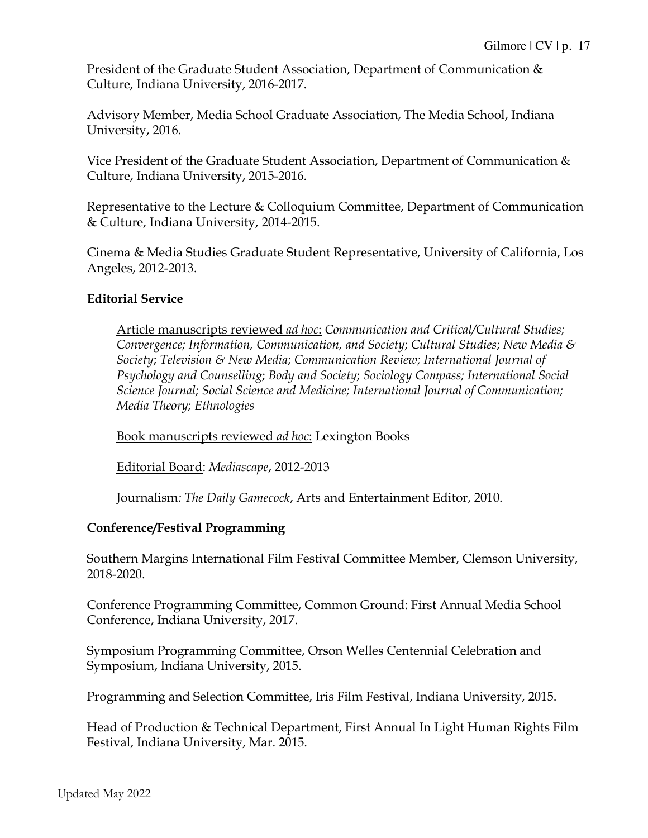President of the Graduate Student Association, Department of Communication & Culture, Indiana University, 2016-2017.

Advisory Member, Media School Graduate Association, The Media School, Indiana University, 2016.

Vice President of the Graduate Student Association, Department of Communication & Culture, Indiana University, 2015-2016.

Representative to the Lecture & Colloquium Committee, Department of Communication & Culture, Indiana University, 2014-2015.

Cinema & Media Studies Graduate Student Representative, University of California, Los Angeles, 2012-2013.

#### **Editorial Service**

Article manuscripts reviewed *ad hoc*: *Communication and Critical/Cultural Studies; Convergence; Information, Communication, and Society*; *Cultural Studies*; *New Media & Society*; *Television & New Media*; *Communication Review; International Journal of Psychology and Counselling*; *Body and Society*; *Sociology Compass; International Social Science Journal; Social Science and Medicine; International Journal of Communication; Media Theory; Ethnologies*

Book manuscripts reviewed *ad hoc*: Lexington Books

Editorial Board: *Mediascape*, 2012-2013

Journalism*: The Daily Gamecock*, Arts and Entertainment Editor, 2010.

# **Conference/Festival Programming**

Southern Margins International Film Festival Committee Member, Clemson University, 2018-2020.

Conference Programming Committee, Common Ground: First Annual Media School Conference, Indiana University, 2017.

Symposium Programming Committee, Orson Welles Centennial Celebration and Symposium, Indiana University, 2015.

Programming and Selection Committee, Iris Film Festival, Indiana University, 2015.

Head of Production & Technical Department, First Annual In Light Human Rights Film Festival, Indiana University, Mar. 2015.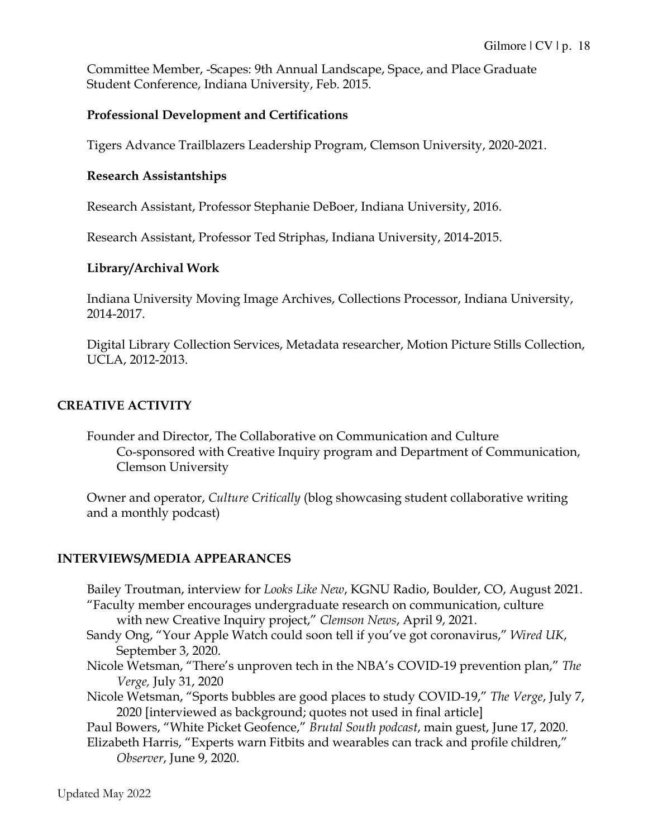Committee Member, -Scapes: 9th Annual Landscape, Space, and Place Graduate Student Conference, Indiana University, Feb. 2015.

## **Professional Development and Certifications**

Tigers Advance Trailblazers Leadership Program, Clemson University, 2020-2021.

#### **Research Assistantships**

Research Assistant, Professor Stephanie DeBoer, Indiana University, 2016.

Research Assistant, Professor Ted Striphas, Indiana University, 2014-2015.

#### **Library/Archival Work**

Indiana University Moving Image Archives, Collections Processor, Indiana University, 2014-2017.

Digital Library Collection Services, Metadata researcher, Motion Picture Stills Collection, UCLA, 2012-2013.

## **CREATIVE ACTIVITY**

Founder and Director, The Collaborative on Communication and Culture Co-sponsored with Creative Inquiry program and Department of Communication, Clemson University

Owner and operator, *Culture Critically* (blog showcasing student collaborative writing and a monthly podcast)

# **INTERVIEWS/MEDIA APPEARANCES**

Bailey Troutman, interview for *Looks Like New*, KGNU Radio, Boulder, CO, August 2021. "Faculty member encourages undergraduate research on communication, culture with new Creative Inquiry project," *Clemson News*, April 9, 2021. Sandy Ong, "Your Apple Watch could soon tell if you've got coronavirus," *Wired UK*, September 3, 2020. Nicole Wetsman, "There's unproven tech in the NBA's COVID-19 prevention plan," *The Verge,* July 31, 2020 Nicole Wetsman, "Sports bubbles are good places to study COVID-19," *The Verge*, July 7, 2020 [interviewed as background; quotes not used in final article] Paul Bowers, "White Picket Geofence," *Brutal South podcast*, main guest, June 17, 2020. Elizabeth Harris, "Experts warn Fitbits and wearables can track and profile children," *Observer*, June 9, 2020.